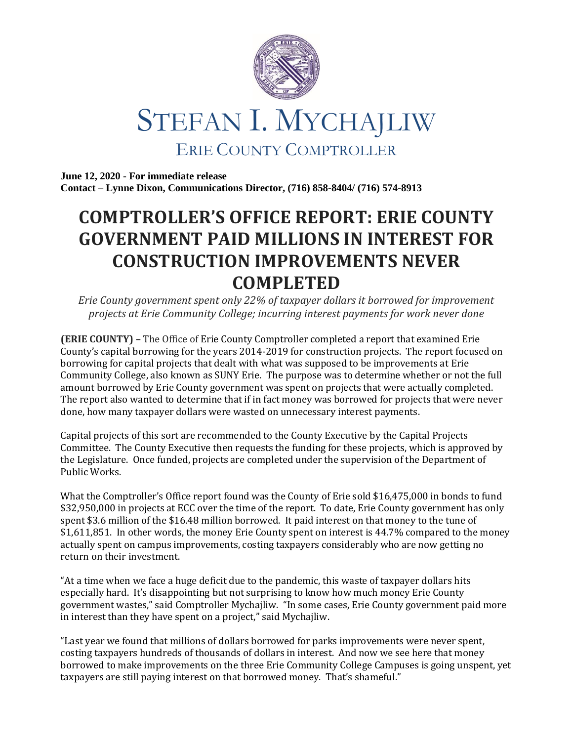

## STEFAN I. MYCHAJLIW ERIE COUNTY COMPTROLLER

**June 12, 2020 - For immediate release Contact – Lynne Dixon, Communications Director, (716) 858-8404/ (716) 574-8913**

## **COMPTROLLER'S OFFICE REPORT: ERIE COUNTY GOVERNMENT PAID MILLIONS IN INTEREST FOR CONSTRUCTION IMPROVEMENTS NEVER COMPLETED**

*Erie County government spent only 22% of taxpayer dollars it borrowed for improvement projects at Erie Community College; incurring interest payments for work never done*

**(ERIE COUNTY) –** The Office of Erie County Comptroller completed a report that examined Erie County's capital borrowing for the years 2014-2019 for construction projects. The report focused on borrowing for capital projects that dealt with what was supposed to be improvements at Erie Community College, also known as SUNY Erie. The purpose was to determine whether or not the full amount borrowed by Erie County government was spent on projects that were actually completed. The report also wanted to determine that if in fact money was borrowed for projects that were never done, how many taxpayer dollars were wasted on unnecessary interest payments.

Capital projects of this sort are recommended to the County Executive by the Capital Projects Committee. The County Executive then requests the funding for these projects, which is approved by the Legislature. Once funded, projects are completed under the supervision of the Department of Public Works.

What the Comptroller's Office report found was the County of Erie sold \$16,475,000 in bonds to fund \$32,950,000 in projects at ECC over the time of the report. To date, Erie County government has only spent \$3.6 million of the \$16.48 million borrowed. It paid interest on that money to the tune of \$1,611,851. In other words, the money Erie County spent on interest is 44.7% compared to the money actually spent on campus improvements, costing taxpayers considerably who are now getting no return on their investment.

"At a time when we face a huge deficit due to the pandemic, this waste of taxpayer dollars hits especially hard. It's disappointing but not surprising to know how much money Erie County government wastes," said Comptroller Mychajliw. "In some cases, Erie County government paid more in interest than they have spent on a project," said Mychajliw.

"Last year we found that millions of dollars borrowed for parks improvements were never spent, costing taxpayers hundreds of thousands of dollars in interest. And now we see here that money borrowed to make improvements on the three Erie Community College Campuses is going unspent, yet taxpayers are still paying interest on that borrowed money. That's shameful."